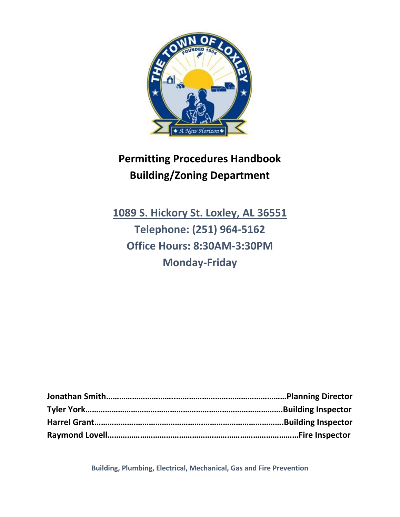

# **Permitting Procedures Handbook Building/Zoning Department**

**1089 S. Hickory St. Loxley, AL 36551 Telephone: (251) 964-5162 Office Hours: 8:30AM-3:30PM Monday-Friday**

**Jonathan Smith…………………………..……………………………………………Planning Director Tyler York……………………………………………………………………………….Building Inspector Harrel Grant……………….………………………….……………………………….Building Inspector Raymond Lovell………………………………………….…………………………………Fire Inspector** 

**Building, Plumbing, Electrical, Mechanical, Gas and Fire Prevention**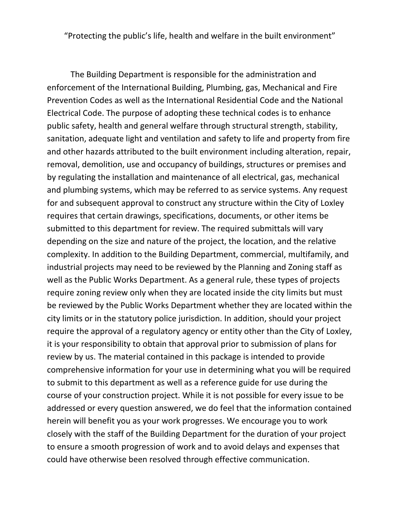"Protecting the public's life, health and welfare in the built environment"

The Building Department is responsible for the administration and enforcement of the International Building, Plumbing, gas, Mechanical and Fire Prevention Codes as well as the International Residential Code and the National Electrical Code. The purpose of adopting these technical codes is to enhance public safety, health and general welfare through structural strength, stability, sanitation, adequate light and ventilation and safety to life and property from fire and other hazards attributed to the built environment including alteration, repair, removal, demolition, use and occupancy of buildings, structures or premises and by regulating the installation and maintenance of all electrical, gas, mechanical and plumbing systems, which may be referred to as service systems. Any request for and subsequent approval to construct any structure within the City of Loxley requires that certain drawings, specifications, documents, or other items be submitted to this department for review. The required submittals will vary depending on the size and nature of the project, the location, and the relative complexity. In addition to the Building Department, commercial, multifamily, and industrial projects may need to be reviewed by the Planning and Zoning staff as well as the Public Works Department. As a general rule, these types of projects require zoning review only when they are located inside the city limits but must be reviewed by the Public Works Department whether they are located within the city limits or in the statutory police jurisdiction. In addition, should your project require the approval of a regulatory agency or entity other than the City of Loxley, it is your responsibility to obtain that approval prior to submission of plans for review by us. The material contained in this package is intended to provide comprehensive information for your use in determining what you will be required to submit to this department as well as a reference guide for use during the course of your construction project. While it is not possible for every issue to be addressed or every question answered, we do feel that the information contained herein will benefit you as your work progresses. We encourage you to work closely with the staff of the Building Department for the duration of your project to ensure a smooth progression of work and to avoid delays and expenses that could have otherwise been resolved through effective communication.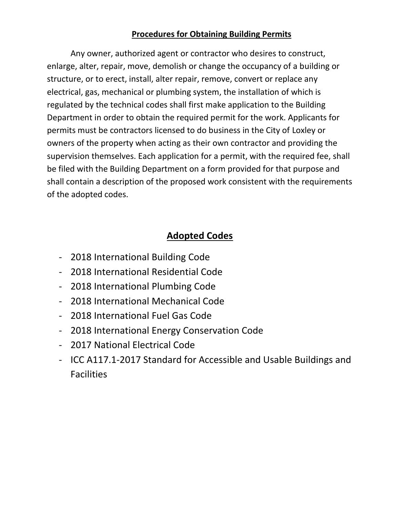#### **Procedures for Obtaining Building Permits**

Any owner, authorized agent or contractor who desires to construct, enlarge, alter, repair, move, demolish or change the occupancy of a building or structure, or to erect, install, alter repair, remove, convert or replace any electrical, gas, mechanical or plumbing system, the installation of which is regulated by the technical codes shall first make application to the Building Department in order to obtain the required permit for the work. Applicants for permits must be contractors licensed to do business in the City of Loxley or owners of the property when acting as their own contractor and providing the supervision themselves. Each application for a permit, with the required fee, shall be filed with the Building Department on a form provided for that purpose and shall contain a description of the proposed work consistent with the requirements of the adopted codes.

### **Adopted Codes**

- 2018 International Building Code
- 2018 International Residential Code
- 2018 International Plumbing Code
- 2018 International Mechanical Code
- 2018 International Fuel Gas Code
- 2018 International Energy Conservation Code
- 2017 National Electrical Code
- ICC A117.1-2017 Standard for Accessible and Usable Buildings and **Facilities**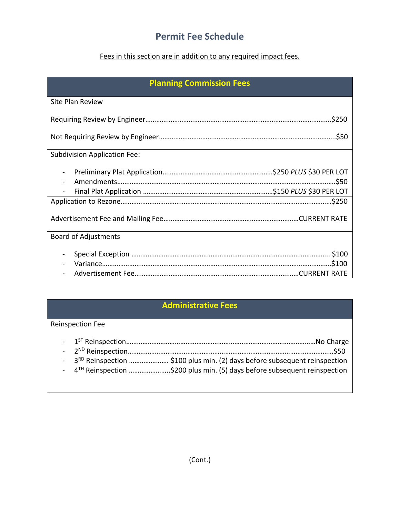### **Permit Fee Schedule**

#### Fees in this section are in addition to any required impact fees.

| <b>Planning Commission Fees</b>     |  |  |
|-------------------------------------|--|--|
| <b>Site Plan Review</b>             |  |  |
|                                     |  |  |
|                                     |  |  |
| <b>Subdivision Application Fee:</b> |  |  |
|                                     |  |  |
|                                     |  |  |
|                                     |  |  |
| <b>Board of Adjustments</b>         |  |  |
|                                     |  |  |

#### **Administrative Fees**

#### Reinspection Fee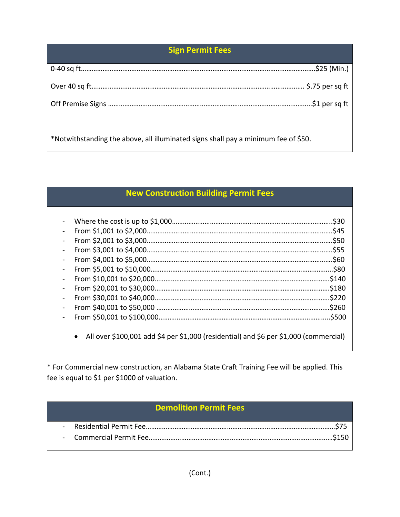### **Sign Permit Fees**

\*Notwithstanding the above, all illuminated signs shall pay a minimum fee of \$50.

#### **New Construction Building Permit Fees**

|                                                                                       | \$30.  |
|---------------------------------------------------------------------------------------|--------|
|                                                                                       | \$45.  |
|                                                                                       | \$50.  |
|                                                                                       | \$55.  |
|                                                                                       | \$60   |
|                                                                                       | \$80.  |
|                                                                                       | \$140  |
|                                                                                       | \$180  |
|                                                                                       | \$220  |
|                                                                                       | \$260  |
|                                                                                       | \$500. |
|                                                                                       |        |
| All over \$100,001 add \$4 per \$1,000 (residential) and \$6 per \$1,000 (commercial) |        |

\* For Commercial new construction, an Alabama State Craft Training Fee will be applied. This fee is equal to \$1 per \$1000 of valuation.

## **Demolition Permit Fees**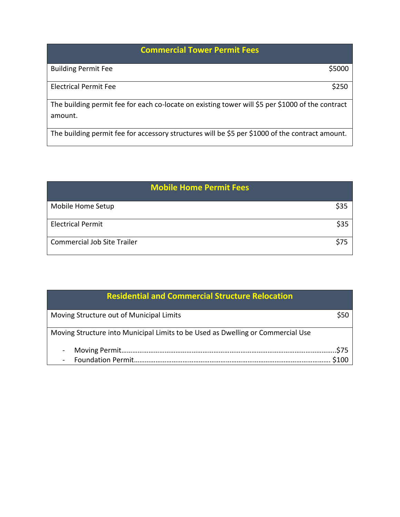# **Commercial Tower Permit Fees**

| <b>Building Permit Fee</b>                                                                       | \$5000 |
|--------------------------------------------------------------------------------------------------|--------|
|                                                                                                  |        |
| <b>Electrical Permit Fee</b>                                                                     | \$250  |
|                                                                                                  |        |
| The building permit fee for each co-locate on existing tower will \$5 per \$1000 of the contract |        |
| amount.                                                                                          |        |
|                                                                                                  |        |

The building permit fee for accessory structures will be \$5 per \$1000 of the contract amount.

|                                    | <b>Mobile Home Permit Fees</b> |      |
|------------------------------------|--------------------------------|------|
| Mobile Home Setup                  |                                | \$35 |
| <b>Electrical Permit</b>           |                                | \$35 |
| <b>Commercial Job Site Trailer</b> |                                |      |

| <b>Residential and Commercial Structure Relocation</b>                          |  |
|---------------------------------------------------------------------------------|--|
| Moving Structure out of Municipal Limits                                        |  |
| Moving Structure into Municipal Limits to be Used as Dwelling or Commercial Use |  |
| $\blacksquare$                                                                  |  |
| $\overline{\phantom{a}}$                                                        |  |